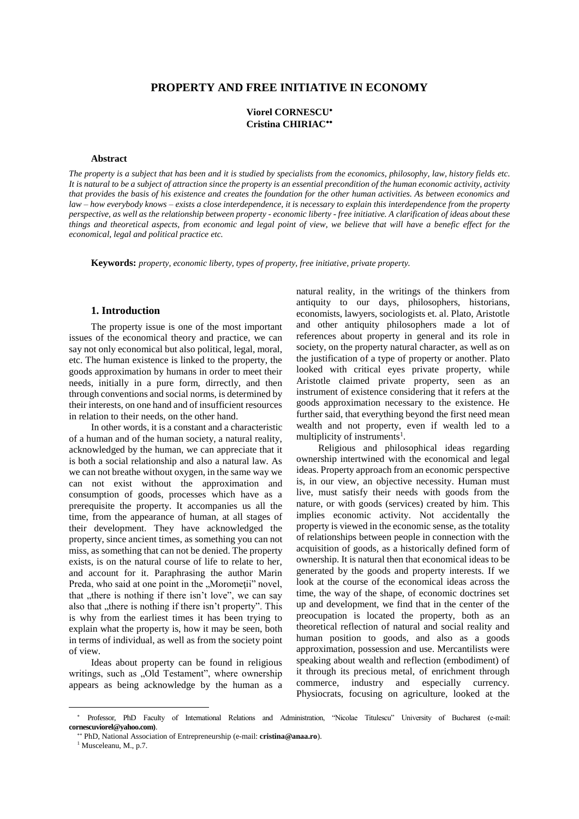## **PROPERTY AND FREE INITIATIVE IN ECONOMY**

# **Viorel CORNESCU Cristina CHIRIAC**

#### **Abstract**

*The property is a subject that has been and it is studied by specialists from the economics, philosophy, law, history fields etc. It is natural to be a subject of attraction since the property is an essential precondition of the human economic activity, activity that provides the basis of his existence and creates the foundation for the other human activities. As between economics and law – how everybody knows – exists a close interdependence, it is necessary to explain this interdependence from the property perspective, as well as the relationship between property - economic liberty - free initiative. A clarification of ideas about these things and theoretical aspects, from economic and legal point of view, we believe that will have a benefic effect for the economical, legal and political practice etc.* 

**Keywords:** *property, economic liberty, types of property, free initiative, private property.* 

#### **1. Introduction**

The property issue is one of the most important issues of the economical theory and practice, we can say not only economical but also political, legal, moral, etc. The human existence is linked to the property, the goods approximation by humans in order to meet their needs, initially in a pure form, dirrectly, and then through conventions and social norms, is determined by their interests, on one hand and of insufficient resources in relation to their needs, on the other hand.

In other words, it is a constant and a characteristic of a human and of the human society, a natural reality, acknowledged by the human, we can appreciate that it is both a social relationship and also a natural law. As we can not breathe without oxygen, in the same way we can not exist without the approximation and consumption of goods, processes which have as a prerequisite the property. It accompanies us all the time, from the appearance of human, at all stages of their development. They have acknowledged the property, since ancient times, as something you can not miss, as something that can not be denied. The property exists, is on the natural course of life to relate to her, and account for it. Paraphrasing the author Marin Preda, who said at one point in the "Morometii" novel, that "there is nothing if there isn't love", we can say also that "there is nothing if there isn't property". This is why from the earliest times it has been trying to explain what the property is, how it may be seen, both in terms of individual, as well as from the society point of view.

Ideas about property can be found in religious writings, such as "Old Testament", where ownership appears as being acknowledge by the human as a natural reality, in the writings of the thinkers from antiquity to our days, philosophers, historians, economists, lawyers, sociologists et. al. Plato, Aristotle and other antiquity philosophers made a lot of references about property in general and its role in society, on the property natural character, as well as on the justification of a type of property or another. Plato looked with critical eyes private property, while Aristotle claimed private property, seen as an instrument of existence considering that it refers at the goods approximation necessary to the existence. He further said, that everything beyond the first need mean wealth and not property, even if wealth led to a multiplicity of instruments<sup>1</sup>.

Religious and philosophical ideas regarding ownership intertwined with the economical and legal ideas. Property approach from an economic perspective is, in our view, an objective necessity. Human must live, must satisfy their needs with goods from the nature, or with goods (services) created by him. This implies economic activity. Not accidentally the property is viewed in the economic sense, as the totality of relationships between people in connection with the acquisition of goods, as a historically defined form of ownership. It is natural then that economical ideas to be generated by the goods and property interests. If we look at the course of the economical ideas across the time, the way of the shape, of economic doctrines set up and development, we find that in the center of the preocupation is located the property, both as an theoretical reflection of natural and social reality and human position to goods, and also as a goods approximation, possession and use. Mercantilists were speaking about wealth and reflection (embodiment) of it through its precious metal, of enrichment through commerce, industry and especially currency. Physiocrats, focusing on agriculture, looked at the

 Professor, PhD Faculty of International Relations and Administration, "Nicolae Titulescu" University of Bucharest (e-mail: **cornescuviorel@yahoo.com)**.

 PhD, National Association of Entrepreneurship (e-mail: **cristina@anaa.ro**).

<sup>1</sup> Musceleanu, M., p.7.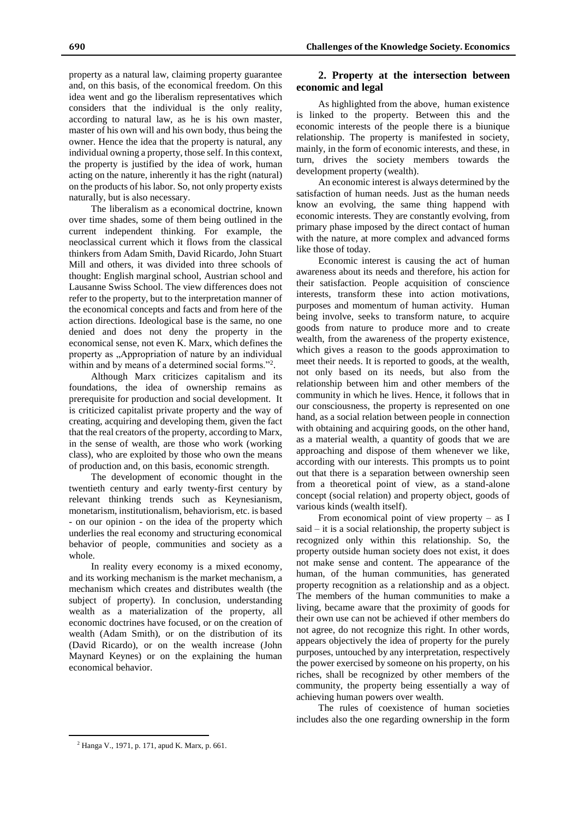property as a natural law, claiming property guarantee and, on this basis, of the economical freedom. On this idea went and go the liberalism representatives which considers that the individual is the only reality, according to natural law, as he is his own master, master of his own will and his own body, thus being the owner. Hence the idea that the property is natural, any individual owning a property, those self. In this context, the property is justified by the idea of work, human acting on the nature, inherently it has the right (natural) on the products of his labor. So, not only property exists naturally, but is also necessary.

The liberalism as a economical doctrine, known over time shades, some of them being outlined in the current independent thinking. For example, the neoclassical current which it flows from the classical thinkers from Adam Smith, David Ricardo, John Stuart Mill and others, it was divided into three schools of thought: English marginal school, Austrian school and Lausanne Swiss School. The view differences does not refer to the property, but to the interpretation manner of the economical concepts and facts and from here of the action directions. Ideological base is the same, no one denied and does not deny the property in the economical sense, not even K. Marx, which defines the property as "Appropriation of nature by an individual within and by means of a determined social forms."<sup>2</sup> .

Although Marx criticizes capitalism and its foundations, the idea of ownership remains as prerequisite for production and social development. It is criticized capitalist private property and the way of creating, acquiring and developing them, given the fact that the real creators of the property, according to Marx, in the sense of wealth, are those who work (working class), who are exploited by those who own the means of production and, on this basis, economic strength.

The development of economic thought in the twentieth century and early twenty-first century by relevant thinking trends such as Keynesianism, monetarism, institutionalism, behaviorism, etc. is based - on our opinion - on the idea of the property which underlies the real economy and structuring economical behavior of people, communities and society as a whole.

In reality every economy is a mixed economy, and its working mechanism is the market mechanism, a mechanism which creates and distributes wealth (the subject of property). In conclusion, understanding wealth as a materialization of the property, all economic doctrines have focused, or on the creation of wealth (Adam Smith), or on the distribution of its (David Ricardo), or on the wealth increase (John Maynard Keynes) or on the explaining the human economical behavior.

## **2. Property at the intersection between economic and legal**

As highlighted from the above, human existence is linked to the property. Between this and the economic interests of the people there is a biunique relationship. The property is manifested in society, mainly, in the form of economic interests, and these, in turn, drives the society members towards the development property (wealth).

An economic interest is always determined by the satisfaction of human needs. Just as the human needs know an evolving, the same thing happend with economic interests. They are constantly evolving, from primary phase imposed by the direct contact of human with the nature, at more complex and advanced forms like those of today.

Economic interest is causing the act of human awareness about its needs and therefore, his action for their satisfaction. People acquisition of conscience interests, transform these into action motivations, purposes and momentum of human activity. Human being involve, seeks to transform nature, to acquire goods from nature to produce more and to create wealth, from the awareness of the property existence, which gives a reason to the goods approximation to meet their needs. It is reported to goods, at the wealth, not only based on its needs, but also from the relationship between him and other members of the community in which he lives. Hence, it follows that in our consciousness, the property is represented on one hand, as a social relation between people in connection with obtaining and acquiring goods, on the other hand, as a material wealth, a quantity of goods that we are approaching and dispose of them whenever we like, according with our interests. This prompts us to point out that there is a separation between ownership seen from a theoretical point of view, as a stand-alone concept (social relation) and property object, goods of various kinds (wealth itself).

From economical point of view property  $-$  as I said – it is a social relationship, the property subject is recognized only within this relationship. So, the property outside human society does not exist, it does not make sense and content. The appearance of the human, of the human communities, has generated property recognition as a relationship and as a object. The members of the human communities to make a living, became aware that the proximity of goods for their own use can not be achieved if other members do not agree, do not recognize this right. In other words, appears objectively the idea of property for the purely purposes, untouched by any interpretation, respectively the power exercised by someone on his property, on his riches, shall be recognized by other members of the community, the property being essentially a way of achieving human powers over wealth.

The rules of coexistence of human societies includes also the one regarding ownership in the form

 $\overline{a}$ 

**<sup>690</sup> Challenges of the Knowledge Society. Economics**

<sup>2</sup> Hanga V., 1971, p. 171, apud K. Marx, p. 661.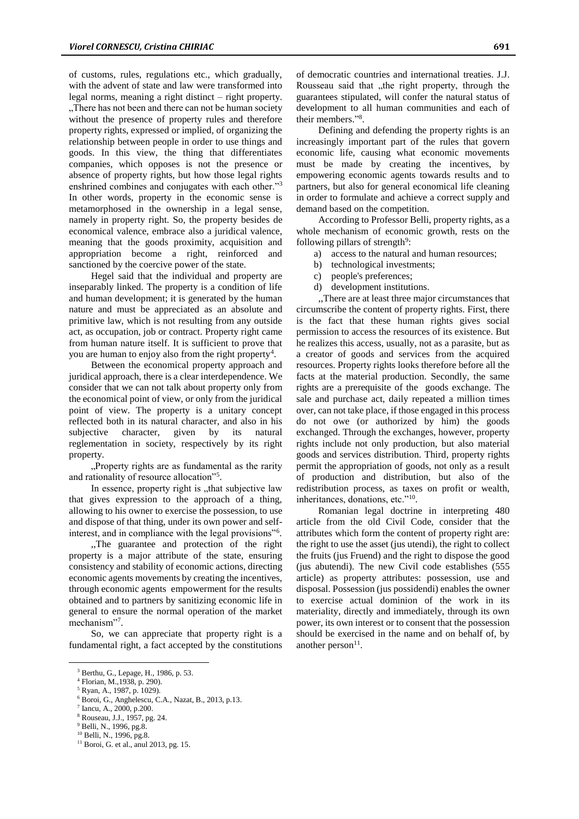of customs, rules, regulations etc., which gradually, with the advent of state and law were transformed into legal norms, meaning a right distinct – right property. There has not been and there can not be human society without the presence of property rules and therefore property rights, expressed or implied, of organizing the relationship between people in order to use things and goods. In this view, the thing that differentiates companies, which opposes is not the presence or absence of property rights, but how those legal rights enshrined combines and conjugates with each other."<sup>3</sup> In other words, property in the economic sense is metamorphosed in the ownership in a legal sense, namely in property right. So, the property besides de economical valence, embrace also a juridical valence, meaning that the goods proximity, acquisition and appropriation become a right, reinforced and sanctioned by the coercive power of the state.

Hegel said that the individual and property are inseparably linked. The property is a condition of life and human development; it is generated by the human nature and must be appreciated as an absolute and primitive law, which is not resulting from any outside act, as occupation, job or contract. Property right came from human nature itself. It is sufficient to prove that you are human to enjoy also from the right property<sup>4</sup>.

Between the economical property approach and juridical approach, there is a clear interdependence. We consider that we can not talk about property only from the economical point of view, or only from the juridical point of view. The property is a unitary concept reflected both in its natural character, and also in his subjective character, given by its natural reglementation in society, respectively by its right property.

"Property rights are as fundamental as the rarity and rationality of resource allocation"<sup>5</sup>.

In essence, property right is "that subjective law that gives expression to the approach of a thing, allowing to his owner to exercise the possession, to use and dispose of that thing, under its own power and selfinterest, and in compliance with the legal provisions"<sup>6</sup> .

,,The guarantee and protection of the right property is a major attribute of the state, ensuring consistency and stability of economic actions, directing economic agents movements by creating the incentives, through economic agents empowerment for the results obtained and to partners by sanitizing economic life in general to ensure the normal operation of the market mechanism"<sup>7</sup>.

So, we can appreciate that property right is a fundamental right, a fact accepted by the constitutions

<sup>6</sup> Boroi, G., Anghelescu, C.A., Nazat, B., 2013, p.13.

 $\overline{a}$ 

of democratic countries and international treaties. J.J. Rousseau said that "the right property, through the guarantees stipulated, will confer the natural status of development to all human communities and each of their members." 8 .

Defining and defending the property rights is an increasingly important part of the rules that govern economic life, causing what economic movements must be made by creating the incentives, by empowering economic agents towards results and to partners, but also for general economical life cleaning in order to formulate and achieve a correct supply and demand based on the competition.

According to Professor Belli, property rights, as a whole mechanism of economic growth, rests on the following pillars of strength<sup>9</sup>:

- a) access to the natural and human resources;
- b) technological investments;
- c) people's preferences;
- d) development institutions.

,,There are at least three major circumstances that circumscribe the content of property rights. First, there is the fact that these human rights gives social permission to access the resources of its existence. But he realizes this access, usually, not as a parasite, but as a creator of goods and services from the acquired resources. Property rights looks therefore before all the facts at the material production. Secondly, the same rights are a prerequisite of the goods exchange. The sale and purchase act, daily repeated a million times over, can not take place, if those engaged in this process do not owe (or authorized by him) the goods exchanged. Through the exchanges, however, property rights include not only production, but also material goods and services distribution. Third, property rights permit the appropriation of goods, not only as a result of production and distribution, but also of the redistribution process, as taxes on profit or wealth, inheritances, donations, etc."<sup>10</sup>.

Romanian legal doctrine in interpreting 480 article from the old Civil Code, consider that the attributes which form the content of property right are: the right to use the asset (jus utendi), the right to collect the fruits (jus Fruend) and the right to dispose the good (jus abutendi). The new Civil code establishes (555 article) as property attributes: possession, use and disposal. Possession (jus possidendi) enables the owner to exercise actual dominion of the work in its materiality, directly and immediately, through its own power, its own interest or to consent that the possession should be exercised in the name and on behalf of, by another person $<sup>11</sup>$ .</sup>

<sup>3</sup> Berthu, G., Lepage, H., 1986, p. 53.

<sup>4</sup> Florian, M.,1938, p. 290).

<sup>5</sup> Ryan, A., 1987, p. 1029).

<sup>7</sup> Iancu, A., 2000, p.200.

<sup>8</sup> Rouseau, J.J., 1957, pg. 24.

<sup>&</sup>lt;sup>9</sup> Belli, N., 1996, pg.8.

<sup>10</sup> Belli, N., 1996, pg.8.

<sup>&</sup>lt;sup>11</sup> Boroi, G. et al., anul 2013, pg. 15.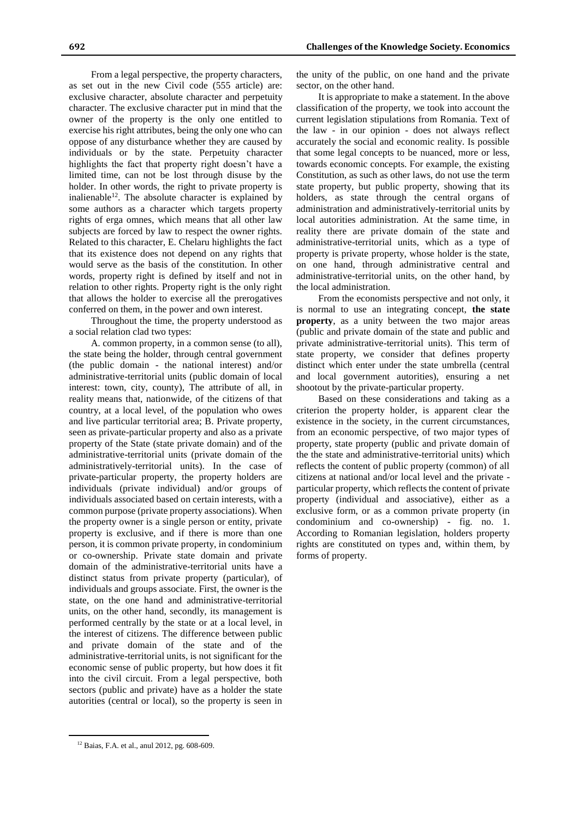From a legal perspective, the property characters, as set out in the new Civil code (555 article) are: exclusive character, absolute character and perpetuity character. The exclusive character put in mind that the owner of the property is the only one entitled to exercise his right attributes, being the only one who can oppose of any disturbance whether they are caused by individuals or by the state. Perpetuity character highlights the fact that property right doesn't have a limited time, can not be lost through disuse by the holder. In other words, the right to private property is inalienable $12$ . The absolute character is explained by some authors as a character which targets property rights of erga omnes, which means that all other law subjects are forced by law to respect the owner rights. Related to this character, E. Chelaru highlights the fact that its existence does not depend on any rights that would serve as the basis of the constitution. In other words, property right is defined by itself and not in relation to other rights. Property right is the only right that allows the holder to exercise all the prerogatives conferred on them, in the power and own interest.

Throughout the time, the property understood as a social relation clad two types:

A. common property, in a common sense (to all), the state being the holder, through central government (the public domain - the national interest) and/or administrative-territorial units (public domain of local interest: town, city, county), The attribute of all, in reality means that, nationwide, of the citizens of that country, at a local level, of the population who owes and live particular territorial area; B. Private property, seen as private-particular property and also as a private property of the State (state private domain) and of the administrative-territorial units (private domain of the administratively-territorial units). In the case of private-particular property, the property holders are individuals (private individual) and/or groups of individuals associated based on certain interests, with a common purpose (private property associations). When the property owner is a single person or entity, private property is exclusive, and if there is more than one person, it is common private property, in condominium or co-ownership. Private state domain and private domain of the administrative-territorial units have a distinct status from private property (particular), of individuals and groups associate. First, the owner is the state, on the one hand and administrative-territorial units, on the other hand, secondly, its management is performed centrally by the state or at a local level, in the interest of citizens. The difference between public and private domain of the state and of the administrative-territorial units, is not significant for the economic sense of public property, but how does it fit into the civil circuit. From a legal perspective, both sectors (public and private) have as a holder the state autorities (central or local), so the property is seen in

 $\overline{a}$ 

the unity of the public, on one hand and the private sector, on the other hand.

It is appropriate to make a statement. In the above classification of the property, we took into account the current legislation stipulations from Romania. Text of the law - in our opinion - does not always reflect accurately the social and economic reality. Is possible that some legal concepts to be nuanced, more or less, towards economic concepts. For example, the existing Constitution, as such as other laws, do not use the term state property, but public property, showing that its holders, as state through the central organs of administration and administratively-territorial units by local autorities administration. At the same time, in reality there are private domain of the state and administrative-territorial units, which as a type of property is private property, whose holder is the state, on one hand, through administrative central and administrative-territorial units, on the other hand, by the local administration.

From the economists perspective and not only, it is normal to use an integrating concept, **the state property**, as a unity between the two major areas (public and private domain of the state and public and private administrative-territorial units). This term of state property, we consider that defines property distinct which enter under the state umbrella (central and local government autorities), ensuring a net shootout by the private-particular property.

Based on these considerations and taking as a criterion the property holder, is apparent clear the existence in the society, in the current circumstances, from an economic perspective, of two major types of property, state property (public and private domain of the the state and administrative-territorial units) which reflects the content of public property (common) of all citizens at national and/or local level and the private particular property, which reflects the content of private property (individual and associative), either as a exclusive form, or as a common private property (in condominium and co-ownership) - fig. no. 1. According to Romanian legislation, holders property rights are constituted on types and, within them, by forms of property.

<sup>12</sup> Baias, F.A. et al., anul 2012, pg. 608-609.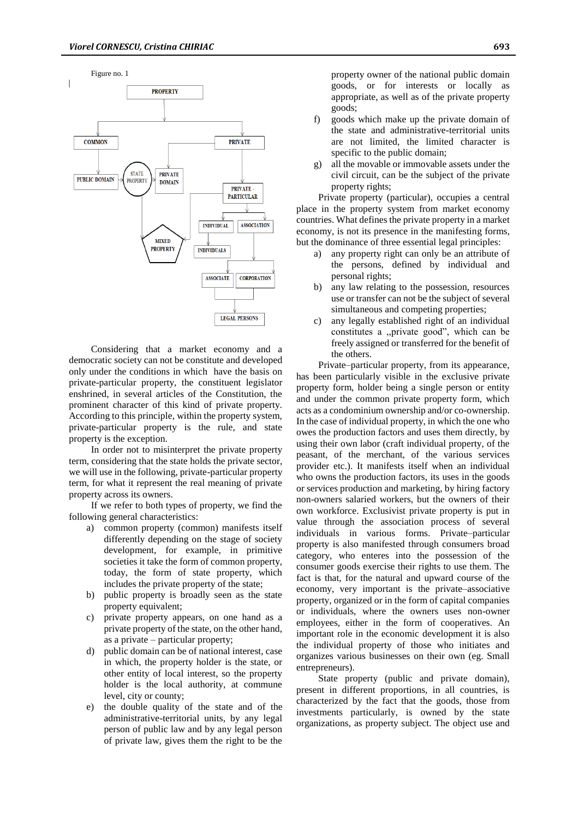

Considering that a market economy and a democratic society can not be constitute and developed only under the conditions in which have the basis on private-particular property, the constituent legislator enshrined, in several articles of the Constitution, the prominent character of this kind of private property. According to this principle, within the property system, private-particular property is the rule, and state property is the exception.

In order not to misinterpret the private property term, considering that the state holds the private sector, we will use in the following, private-particular property term, for what it represent the real meaning of private property across its owners.

If we refer to both types of property, we find the following general characteristics:

- a) common property (common) manifests itself differently depending on the stage of society development, for example, in primitive societies it take the form of common property, today, the form of state property, which includes the private property of the state;
- b) public property is broadly seen as the state property equivalent;
- c) private property appears, on one hand as a private property of the state, on the other hand, as a private – particular property;
- d) public domain can be of national interest, case in which, the property holder is the state, or other entity of local interest, so the property holder is the local authority, at commune level, city or county;
- e) the double quality of the state and of the administrative-territorial units, by any legal person of public law and by any legal person of private law, gives them the right to be the

property owner of the national public domain goods, or for interests or locally as appropriate, as well as of the private property goods;

- f) goods which make up the private domain of the state and administrative-territorial units are not limited, the limited character is specific to the public domain;
- g) all the movable or immovable assets under the civil circuit, can be the subject of the private property rights;

Private property (particular), occupies a central place in the property system from market economy countries. What defines the private property in a market economy, is not its presence in the manifesting forms, but the dominance of three essential legal principles:

- a) any property right can only be an attribute of the persons, defined by individual and personal rights;
- b) any law relating to the possession, resources use or transfer can not be the subject of several simultaneous and competing properties;
- c) any legally established right of an individual constitutes a ,,private good", which can be freely assigned or transferred for the benefit of the others.

Private–particular property, from its appearance, has been particularly visible in the exclusive private property form, holder being a single person or entity and under the common private property form, which acts as a condominium ownership and/or co-ownership. In the case of individual property, in which the one who owes the production factors and uses them directly, by using their own labor (craft individual property, of the peasant, of the merchant, of the various services provider etc.). It manifests itself when an individual who owns the production factors, its uses in the goods or services production and marketing, by hiring factory non-owners salaried workers, but the owners of their own workforce. Exclusivist private property is put in value through the association process of several individuals in various forms. Private–particular property is also manifested through consumers broad category, who enteres into the possession of the consumer goods exercise their rights to use them. The fact is that, for the natural and upward course of the economy, very important is the private–associative property, organized or in the form of capital companies or individuals, where the owners uses non-owner employees, either in the form of cooperatives. An important role in the economic development it is also the individual property of those who initiates and organizes various businesses on their own (eg. Small entrepreneurs).

State property (public and private domain), present in different proportions, in all countries, is characterized by the fact that the goods, those from investments particularly, is owned by the state organizations, as property subject. The object use and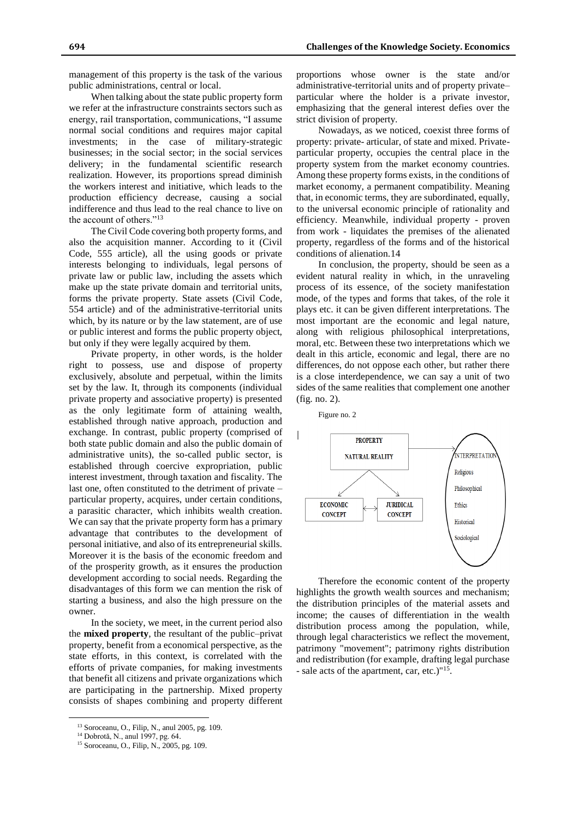management of this property is the task of the various public administrations, central or local.

When talking about the state public property form we refer at the infrastructure constraints sectors such as energy, rail transportation, communications, "I assume normal social conditions and requires major capital investments; in the case of military-strategic businesses; in the social sector; in the social services delivery; in the fundamental scientific research realization. However, its proportions spread diminish the workers interest and initiative, which leads to the production efficiency decrease, causing a social indifference and thus lead to the real chance to live on the account of others."<sup>13</sup>

The Civil Code covering both property forms, and also the acquisition manner. According to it (Civil Code, 555 article), all the using goods or private interests belonging to individuals, legal persons of private law or public law, including the assets which make up the state private domain and territorial units, forms the private property. State assets (Civil Code, 554 article) and of the administrative-territorial units which, by its nature or by the law statement, are of use or public interest and forms the public property object, but only if they were legally acquired by them.

Private property, in other words, is the holder right to possess, use and dispose of property exclusively, absolute and perpetual, within the limits set by the law. It, through its components (individual private property and associative property) is presented as the only legitimate form of attaining wealth, established through native approach, production and exchange. In contrast, public property (comprised of both state public domain and also the public domain of administrative units), the so-called public sector, is established through coercive expropriation, public interest investment, through taxation and fiscality. The last one, often constituted to the detriment of private – particular property, acquires, under certain conditions, a parasitic character, which inhibits wealth creation. We can say that the private property form has a primary advantage that contributes to the development of personal initiative, and also of its entrepreneurial skills. Moreover it is the basis of the economic freedom and of the prosperity growth, as it ensures the production development according to social needs. Regarding the disadvantages of this form we can mention the risk of starting a business, and also the high pressure on the owner.

In the society, we meet, in the current period also the **mixed property**, the resultant of the public–privat property, benefit from a economical perspective, as the state efforts, in this context, is correlated with the efforts of private companies, for making investments that benefit all citizens and private organizations which are participating in the partnership. Mixed property consists of shapes combining and property different

 $\overline{a}$ 

proportions whose owner is the state and/or administrative-territorial units and of property private– particular where the holder is a private investor, emphasizing that the general interest defies over the strict division of property.

Nowadays, as we noticed, coexist three forms of property: private- articular, of state and mixed. Privateparticular property, occupies the central place in the property system from the market economy countries. Among these property forms exists, in the conditions of market economy, a permanent compatibility. Meaning that, in economic terms, they are subordinated, equally, to the universal economic principle of rationality and efficiency. Meanwhile, individual property - proven from work - liquidates the premises of the alienated property, regardless of the forms and of the historical conditions of alienation.14

In conclusion, the property, should be seen as a evident natural reality in which, in the unraveling process of its essence, of the society manifestation mode, of the types and forms that takes, of the role it plays etc. it can be given different interpretations. The most important are the economic and legal nature, along with religious philosophical interpretations, moral, etc. Between these two interpretations which we dealt in this article, economic and legal, there are no differences, do not oppose each other, but rather there is a close interdependence, we can say a unit of two sides of the same realities that complement one another (fig. no. 2).



Therefore the economic content of the property highlights the growth wealth sources and mechanism; the distribution principles of the material assets and income; the causes of differentiation in the wealth distribution process among the population, while, through legal characteristics we reflect the movement, patrimony "movement"; patrimony rights distribution and redistribution (for example, drafting legal purchase - sale acts of the apartment, car, etc.)"<sup>15</sup>.

<sup>13</sup> Soroceanu, O., Filip, N., anul 2005, pg. 109.

<sup>14</sup> Dobrotă, N., anul 1997, pg. 64.

<sup>15</sup> Soroceanu, O., Filip, N., 2005, pg. 109.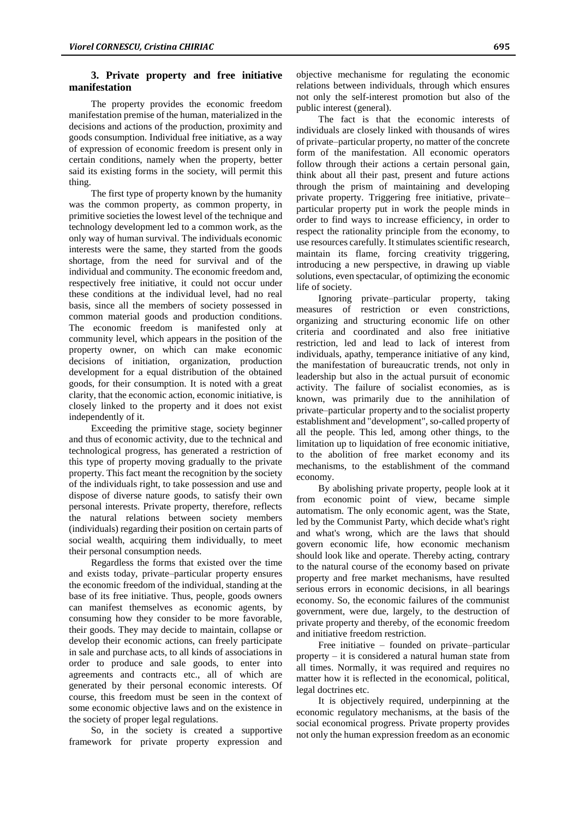## **3. Private property and free initiative manifestation**

The property provides the economic freedom manifestation premise of the human, materialized in the decisions and actions of the production, proximity and goods consumption. Individual free initiative, as a way of expression of economic freedom is present only in certain conditions, namely when the property, better said its existing forms in the society, will permit this thing.

The first type of property known by the humanity was the common property, as common property, in primitive societies the lowest level of the technique and technology development led to a common work, as the only way of human survival. The individuals economic interests were the same, they started from the goods shortage, from the need for survival and of the individual and community. The economic freedom and, respectively free initiative, it could not occur under these conditions at the individual level, had no real basis, since all the members of society possessed in common material goods and production conditions. The economic freedom is manifested only at community level, which appears in the position of the property owner, on which can make economic decisions of initiation, organization, production development for a equal distribution of the obtained goods, for their consumption. It is noted with a great clarity, that the economic action, economic initiative, is closely linked to the property and it does not exist independently of it.

Exceeding the primitive stage, society beginner and thus of economic activity, due to the technical and technological progress, has generated a restriction of this type of property moving gradually to the private property. This fact meant the recognition by the society of the individuals right, to take possession and use and dispose of diverse nature goods, to satisfy their own personal interests. Private property, therefore, reflects the natural relations between society members (individuals) regarding their position on certain parts of social wealth, acquiring them individually, to meet their personal consumption needs.

Regardless the forms that existed over the time and exists today, private–particular property ensures the economic freedom of the individual, standing at the base of its free initiative. Thus, people, goods owners can manifest themselves as economic agents, by consuming how they consider to be more favorable, their goods. They may decide to maintain, collapse or develop their economic actions, can freely participate in sale and purchase acts, to all kinds of associations in order to produce and sale goods, to enter into agreements and contracts etc., all of which are generated by their personal economic interests. Of course, this freedom must be seen in the context of some economic objective laws and on the existence in the society of proper legal regulations.

So, in the society is created a supportive framework for private property expression and objective mechanisme for regulating the economic relations between individuals, through which ensures not only the self-interest promotion but also of the public interest (general).

The fact is that the economic interests of individuals are closely linked with thousands of wires of private–particular property, no matter of the concrete form of the manifestation. All economic operators follow through their actions a certain personal gain, think about all their past, present and future actions through the prism of maintaining and developing private property. Triggering free initiative, private– particular property put in work the people minds in order to find ways to increase efficiency, in order to respect the rationality principle from the economy, to use resources carefully. It stimulates scientific research, maintain its flame, forcing creativity triggering, introducing a new perspective, in drawing up viable solutions, even spectacular, of optimizing the economic life of society.

Ignoring private–particular property, taking measures of restriction or even constrictions, organizing and structuring economic life on other criteria and coordinated and also free initiative restriction, led and lead to lack of interest from individuals, apathy, temperance initiative of any kind, the manifestation of bureaucratic trends, not only in leadership but also in the actual pursuit of economic activity. The failure of socialist economies, as is known, was primarily due to the annihilation of private–particular property and to the socialist property establishment and "development", so-called property of all the people. This led, among other things, to the limitation up to liquidation of free economic initiative, to the abolition of free market economy and its mechanisms, to the establishment of the command economy.

By abolishing private property, people look at it from economic point of view, became simple automatism. The only economic agent, was the State, led by the Communist Party, which decide what's right and what's wrong, which are the laws that should govern economic life, how economic mechanism should look like and operate. Thereby acting, contrary to the natural course of the economy based on private property and free market mechanisms, have resulted serious errors in economic decisions, in all bearings economy. So, the economic failures of the communist government, were due, largely, to the destruction of private property and thereby, of the economic freedom and initiative freedom restriction.

Free initiative – founded on private–particular property – it is considered a natural human state from all times. Normally, it was required and requires no matter how it is reflected in the economical, political, legal doctrines etc.

It is objectively required, underpinning at the economic regulatory mechanisms, at the basis of the social economical progress. Private property provides not only the human expression freedom as an economic